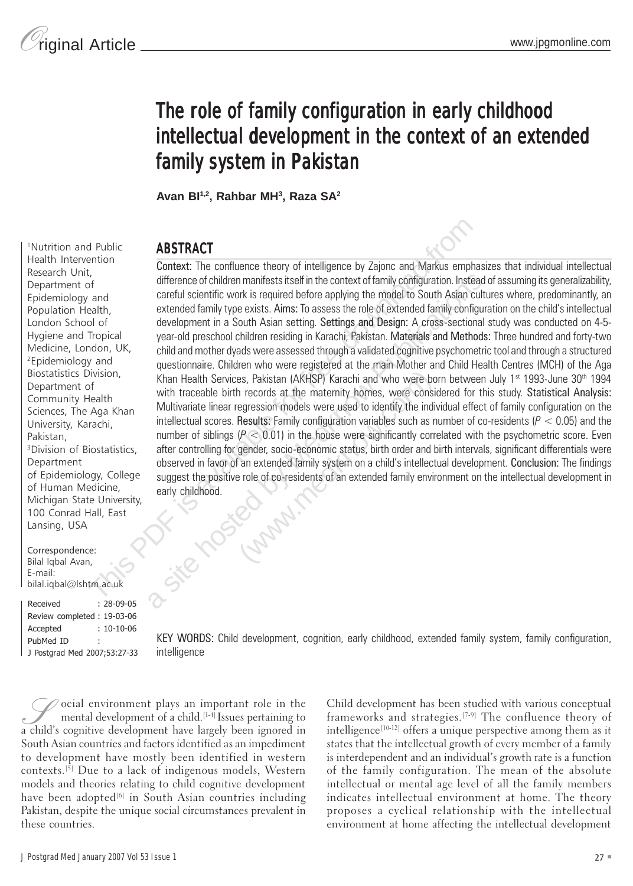# The role of family configuration in early childhood intellectual development in the context of an extended family system in Pakistan

**Avan BI1,2, Rahbar MH3 , Raza SA2** 

## <sup>1</sup>Nutrition and Public **ABSTRACT**<br>Health Intervention  $\overline{A}$

d Public<br>
the confluence theory of intelligence by Zajonc and Markus empty.<br>
the confluence of children manifests itself in the context of family configuration. Instead of contribution the confluence of children manifests difference of children manifests itself in the context of family configuration. Instead<br>careful scientific work is required before applying the model to South Asian cull<br>extended family type exists. Aims: To assess the ro questionnaire. Children who were registered at the main Mother and Child Health Centres (MCH) of the Aga<br>Khan Health Services, Pakistan (AKHSP) Karachi and who were born between July 1<sup>st</sup> 1993-June 30<sup>th</sup> 1994<br>with tracea Health Intervention Context: The confluence theory of intelligence by Zajonc and Markus emphasizes that individual intellectual Research Unit, Research Stin, difference of children manifests itself in the context of family configuration. Instead of assuming its generalizability, Epidemiology and careful scientific work is required before applying the model to South Asian cultures where, predominantly, an Population Health. extended family type exists. Aims: To assess the role of extended family configuration on the child's intellectual London School of development in a South Asian setting. Settings and Design: A cross-sectional study was conducted on 4-5-Hygiene and Tropical year-old preschool children residing in Karachi, Pakistan. Materials and Methods: Three hundred and forty-two<br>Medicine, London, UK, child and mother dyads were assessed through a validated cognitive ps Medicine, London, UK, child and mother dyads were assessed through a validated cognitive psychometric tool and through a structured <br><sup>2</sup>Epidemiology and questionnaire. Children who were registered at the main Mother and Ch Department of with traceable birth records at the maternity homes, were considered for this study. Statistical Analysis: Community Health Sciences, The Aga Khan Multivariate linear regression models were used to identify the individual effect of family configuration on the University, Karachi, intellectual scores. Results: Family configuration variables such as number of co-residents ( $P < 0.05$ ) and the number of siblings ( $P < 0.01$ ) in the house were significantly correlated with the psychometric score. Even <sup>3</sup>Division of Biostatistics, after controlling for gender, socio-economic status, birth order and birth intervals, significant differentials were observed in favor of an extended family system on a child's intellectual development. Conclusion: The findings of Epidemiology, College suggest the positive role of co-residents of an extended family environment on the intellectual development in<br>of Human Medicine, early childhood.<br>Michigan State University, Khan Health Services, Pakistan (AKHSP) Karachi and who were born between July 1<sup>st</sup> 1993-June 30<sup>th</sup> 1994

Correspondence: Bilal Iqbal Avan, bilal.iqbal@lshtm.ac.uk E-mail:

100 Conrad Hall, East

Lansing, USA

Pakistan,

Department

: 28-09-05 Received Review completed : 19-03-06 Accepted : 10-10-06 J Postgrad Med 2007;53:27-33 intelligence

PubMed ID : KEY WORDS: Child development, cognition, early childhood, extended family system, family configuration,

 $\mathcal{S}$  ocial environment plays an important role in the mental development of a child.<sup>[1-4]</sup> Issues pertaining to a child's cognitive development have largely been ignored in South Asian countries and factors identified as an impediment to development have mostly been identified in western contexts.[5] Due to a lack of indigenous models, Western models and theories relating to child cognitive development have been adopted $[6]$  in South Asian countries including Pakistan, despite the unique social circumstances prevalent in these countries.

Child development has been studied with various conceptual frameworks and strategies.<sup>[7-9]</sup> The confluence theory of intelligence<sup>[10-12]</sup> offers a unique perspective among them as it states that the intellectual growth of every member of a family is interdependent and an individual's growth rate is a function of the family configuration. The mean of the absolute intellectual or mental age level of all the family members indicates intellectual environment at home. The theory proposes a cyclical relationship with the intellectual environment at home affecting the intellectual development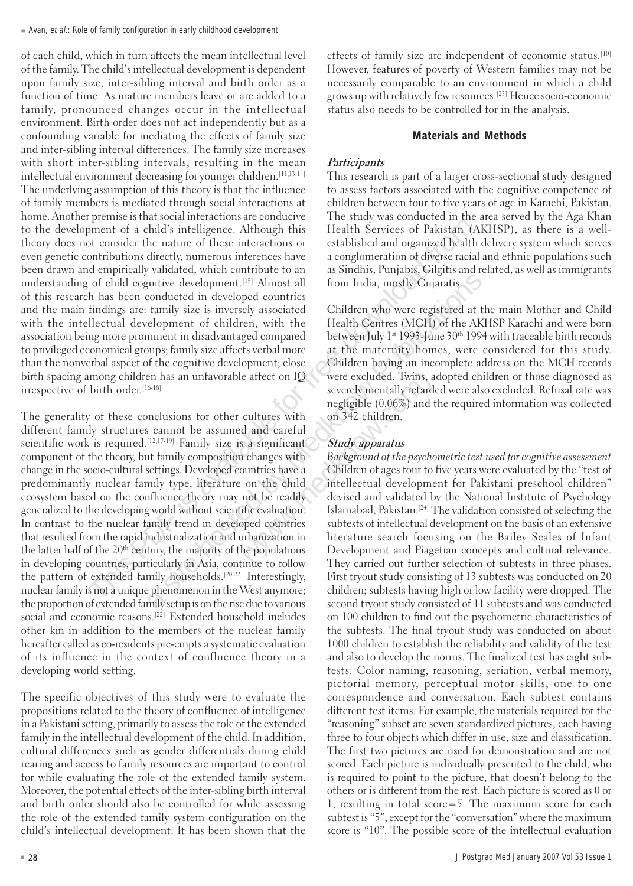$\blacksquare$  Avan, et al.: Role of family configuration in early childhood development

of each child, which in turn affects the mean intellectual level of the family. The child's intellectual development is dependent upon family size, inter-sibling interval and birth order as a function of time. As mature members leave or are added to a family, pronounced changes occur in the intellectual environment. Birth order does not act independently but as a confounding variable for mediating the effects of family size and inter-sibling interval differences. The family size increases with short inter -sibling intervals, resulting in the mean intellectual environment decreasing for younger childr e n . [11,13,14] The underlying assumption of this theory is that the influence of family members is mediated through social interactions at home. Another premise is that social interactions are conducive The study was conducted in the area served by the Aga Khan to the development of a child's intelligence. Although this Health Services of Pakistan (AKHSP), as there is a welltheory does not consider the nature of these interactions or established and organized health delivery system which serves even genetic contributions directly, numerous inferences have a conglomeration of diverse racial and ethnic populations such been drawn and empirically validated, which contribute to an as Sindhis, Punjabis, Gilgitis and related, as well as immigrants understanding of child cognitive development.<sup>[15]</sup> Almost all from India, mostly Gujaratis. of this research has been conducted in developed countries and the main findings are: family size is inversely associated Children who were registered at the main Mother and Child with the intellectual development of children, with the association being more prominent in disadvantaged compar to privileged economical groups; family size affects verbal more at the maternity homes, were considered for this study. than the nonverbal aspect of the cognitive development; close Children having an incomplete address on the MCH records birth spacing among children has an unfavorable affect on IQ irrespective of birth order.

From the matrix of the interactions of the site interactions of the site hosted from a site hosted from a site hosted from a site hosted from a site hosted from a site hosted by a conspirant of diverse racial dempirically The generality of these conclusions for other cultures with on 342 children. different family structures cannot be assumed and careful scientific work is required.<sup>[12,17-19]</sup> Family size is a significant Study apparatus component of the theory, but family composition changes with Background of the psychometric test used for cognitive assessment change in the socio-cultural settings. Developed countries have a Children of ages four to five years were evaluated by the "test of predominantly nuclear family type; literature on the child ecosystem based on the confluence theory may not be readily devised and validated by the National Institute of Psychology generalized to the developing world without scientific evaluation. Islamabad, Pakistan.<sup>[24]</sup> The validation consisted of selecting the In contrast to the nuclear family trend in developed countries subtests of intellectua that resulted from the rapid industrialization and urbanization in literature search focusing on the Bailey Scales of Infant the latter half of the 20<sup>th</sup> century, the majority of the populations Development and Piagetian concepts and cultural relevance. in developing countries, particularly in Asia, continue to follow They carried out further selection of subtests in three phases. the pattern of extended family households.[20-22] Interestingly, nuclear family is not a unique phenomenon in the West anymore; the proportion of extended family setup is on the rise due to various second tryout study consisted of 11 subtests and was conducted social and economic reasons.<sup>[22]</sup> Extended household includes other kin in addition to the members of the nuclear family hereafter called as co-residents pre-empts a systematic evaluation of its influence in the context of confluence theory in a developing world setting.

The specific objectives of this study wer e to evaluate the propositions related to the theory of confluence of intelligence in a Pakistani setting, primarily to assess the role of the e xtended family in the intellectual development of the child. In addition, cultural differences such as gender differentials during child rearing and access to family resources are important to control for while evaluating the role of the extended family system. Moreover, the potential effects of the inter-sibling birth interval and birth order should also be controlled for while assessing the role of the extended family system configuration on the child's intellectual development. It has been shown that the

effects of family size are independent of economic status.<sup>[10]</sup> However, features of poverty of Western families may not be necessarily comparable to an environment in which a child grows up with relatively few resources.[23] Hence socio-economic status also needs to be controlled for in the analysis.

### Materials and Methods

### **Participants**

This research is part of a larger cross-sectional study designed to assess factors associated with the cognitive competence of children between four to five years of age in Karachi, Pakistan.

Health Centres (MCH) of the AKHSP Karachi and were born ed between July 1st 1993-June 30th 1994 with traceable birth records w e re excluded. Twins, adopted children or those diagnosed as [16-18] severely mentally retar ded were also excluded. Refusal rate was negligible (0.06%) and the required information was collected

e n" subtests of intellectual development on the basis of an extensive First tryout study consisting of 13 subtests was conducted on 20 en; subtests having high or low facility wer e dropped. The on 100 children to find out the psychometric characteristics of the subtests. The final tryout study was conducted on about 1000 childr en to establish the reliability and validity of the test and also to develop the norms. The finalized test has eight subtests: Color naming, reasoning, seriation, verbal memory, pictorial memory, perceptual motor skills, one to one correspondence and conversation. Each subtest contains different test items. For example, the materials required for the "reasoning" subset are seven standardized pictures, each having three to four objects which differ in use, size and classification. The first two pictures are used for demonstration and are not scored. Each pictur e is individually presented to the child, who is required to point to the picture, that doesn't belong to the others or is different from the rest. Each picture is scored as 0 or 1, resulting in total score=5. The maximum score for each subtest is "5", e xcept for the "conversation " where the maximum score is "10". The possible score of the intellectual evaluation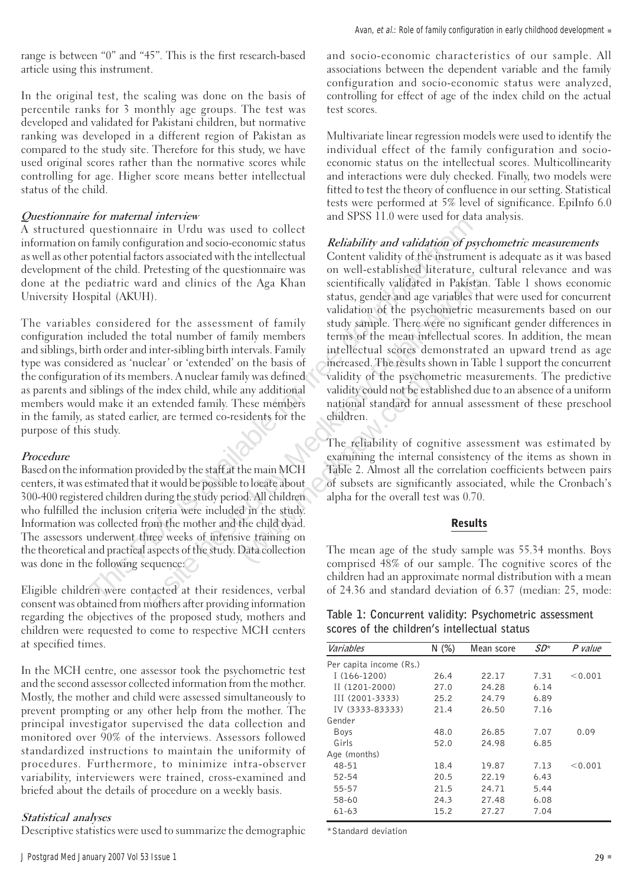range is between "0" and "45". This is the first r esearch-based article using this instrument.

In the original test, the scaling was done on the basis of percentile ranks for 3 monthly age groups. The test was developed and validated for Pakistani children, but normative ranking was developed in a different region of Pakistan as compared to the study site. Therefore for this study, we have used original scores rather than the normative scores while controlling for age. Higher score means better intellectual status of the child.

### Questionnaire for maternal interview

A structured questionnaire in Urdu was used to collect information on family configuration and socio-economic status Reliability and validation of psychometric measurements<br>as well as other potential factors associated with the intellectual Content validity of the instrument i development of the child. Pretesting of the questionnaire was done at the pediatric ward and clinics of the Aga Khan University Hospital (AK U H

The variables considered for the assessment of family study sample. There were no significant gender differences in<br>configuration included the total number of family members terms of the mean intellectual scores. In additi and siblings, birth order and inter-sibling birth intervals. Family<br>type was considered as 'nuclear' or 'extended' on the basis of the configuration of its members. A nuclear family was defined validity of the psychometric measurements. The predictive as parents and siblings of the index child, while any additional validity could not be established du as parents and siblings of the index child, while any additional members would make it an extended family. These members in the family, as stated earlier, are termed co-residents for the purpose of this study.

#### Procedure

Based on the information provided by the staff at the main MCH centers, it was estimated that it would be possible to locate about 300-400 r egistered children during the study period. All childr who fulfilled the inclusion criteria wer e included in the study. Information was collected from the mother and the child dyad. The assessors underwent three weeks of intensive training on the theoretical and practical aspects of the study. Data collection

Eligible childr en wer Eligible children were contacted at their residences, verbal of 24.36 and standard deviation of 6.37 (median: 25, mode: consent was obtained from mothers after providing information regarding the objectives of the proposed study, mothers and children were requested to come to respective MCH centers at specified times.

In the MCH centre, one assessor took the psychometric test and the second assessor collected information from the mother.<br>Mostly, the mother and child were assessed simultaneously to prevent prompting or any other help from the mother. The principal investigator supervised the data collection and monitored over 90% of the interviews. Assessors followed standardized instructions to maintain the uniformity of procedures. F urthermore, to minimize intra-observer variability, interviewers were trained, cross-examined and briefed about the details of procedure on a weekly basis.

#### Statistical analyses

Descriptive statistics were used to summarize the demographic

and socio-economic characteristics of our sample. All associations between the dependent variable and the family configuration and socio-economic status were analyzed, controlling for effect of age of the index child on the actual test score s.

Multivariate linear regression models wer e used to identify the individual effect of the family configuration and socioeconomic status on the intellectual scores. Multicollinearity and interactions were duly checked. F inally, two models were fitted to test the theory of confluence in our setting. Statistical tests were performed at 5% level of significance. EpiInfo 6.0 and SPSS 11.0 were used for data analysis.

The multiple conditional about of the simulation and the simulation and the framily confluentiating variable in the content status, and validating in the child. Pretesting of the questionnaire was on well-established liter Content validity of the instrument is adequate as it was based on well-established literature, cultural relevance and was scientifically validated in Pakistan. Table 1 shows economic status, gender and age variables that were used for concurrent validation of the psychometric measurements based on our terms of the mean intellectual scores. In addition, the mean intellectual scores demonstrated an upward trend as age increased. The results shown in Table 1 support the concurrent validity of the psychometric measurements. The predictive mational standard for annual assessment of these preschool<br>children

The reliability of cognitive assessment was estimated by examining the internal consistency of the items as shown in Table 2. Almost all the correlation coefficients between pairs of subsets are significantly associated, while the Cronbach's alpha for the overall test was 0.70.

#### Results

the theoretical and practical aspects of the study. Data collection The mean age of the study sample was 55.34 months. Boys<br>comprised 48% of our sample. The cognitive scores of the comprised 48% of our sample. The cognitive scores of the children had an approximate normal distribution with a mean

|  |                                              |  | Table 1: Concurrent validity: Psychometric assessment |  |
|--|----------------------------------------------|--|-------------------------------------------------------|--|
|  | scores of the children's intellectual status |  |                                                       |  |

| Variables               | N(%) | Mean score | $SD^*$ | P value |
|-------------------------|------|------------|--------|---------|
| Per capita income (Rs.) |      |            |        |         |
| $I(166-1200)$           | 26.4 | 22.17      | 7.31   | < 0.001 |
| $II(1201-2000)$         | 27.0 | 24.28      | 6.14   |         |
| III (2001-3333)         | 25.2 | 24.79      | 6.89   |         |
| IV (3333-83333)         | 21.4 | 26.50      | 7.16   |         |
| Gender                  |      |            |        |         |
| Boys                    | 48.0 | 26.85      | 7.07   | 0.09    |
| Girls                   | 52.0 | 24.98      | 6.85   |         |
| Age (months)            |      |            |        |         |
| 48-51                   | 18.4 | 19.87      | 7.13   | < 0.001 |
| 52-54                   | 20.5 | 22.19      | 6.43   |         |
| 55-57                   | 21.5 | 24.71      | 5.44   |         |
| 58-60                   | 24.3 | 27.48      | 6.08   |         |
| $61 - 63$               | 15.2 | 27.27      | 7.04   |         |

\*Standard deviation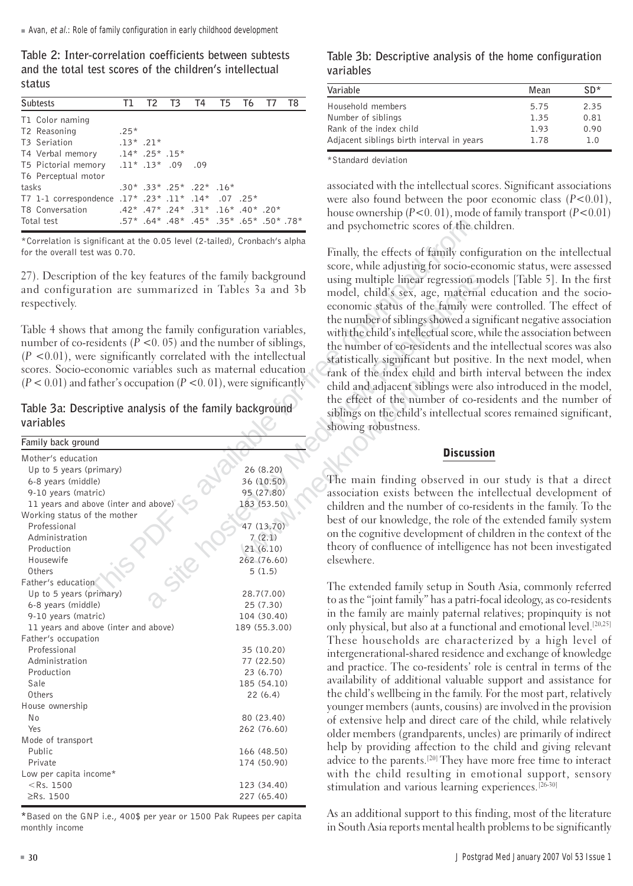Table 2: Inter-correlation coefficients between subtests and the total test scores of the children's intellectual status

|       | <b>Subtests</b>                                    |             |  | T1 T2 T3 T4 T5 T6 T7                    |  | T8 |
|-------|----------------------------------------------------|-------------|--|-----------------------------------------|--|----|
|       | T1 Color naming                                    |             |  |                                         |  |    |
|       | T2 Reasoning                                       | $.25*$      |  |                                         |  |    |
|       | T <sub>3</sub> Seriation                           | $.13*$ .21* |  |                                         |  |    |
|       | T4 Verbal memory .14* .25* .15*                    |             |  |                                         |  |    |
|       | 09. 09. 13* 13. *T5 Pictorial memory               |             |  |                                         |  |    |
|       | T6 Perceptual motor                                |             |  |                                         |  |    |
| tasks |                                                    |             |  | $.30*$ .33* .25* .22* .16*              |  |    |
|       | T7 1-1 correspondence .17* .23* .11* .14* .07 .25* |             |  |                                         |  |    |
|       | T8 Conversation                                    |             |  | $.42^*$ , 47*, 24*, 31*, 16*, 40*, 42*, |  |    |
|       | Total test                                         |             |  | .57* .64* .48* .45* .35* .65* .57* .57* |  |    |

variables

| Total test                                                             | *78. *50. *65. *35. *45. *48. *64. *57.                                    |                                      | and psychometric scores of the child               |
|------------------------------------------------------------------------|----------------------------------------------------------------------------|--------------------------------------|----------------------------------------------------|
|                                                                        | *Correlation is significant at the 0.05 level (2-tailed), Cronbach's alpha |                                      |                                                    |
| for the overall test was 0.70.                                         |                                                                            |                                      | Finally, the effects of family configur            |
|                                                                        |                                                                            |                                      | score, while adjusting for socio-econo             |
| 27). Description of the key features of the family background          |                                                                            |                                      | using multiple linear regression mod               |
| and configuration are summarized in Tables 3a and 3b                   |                                                                            | model, child's sex, age, maternal ed |                                                    |
| respectively.                                                          |                                                                            | economic status of the family were   |                                                    |
|                                                                        |                                                                            |                                      | the number of siblings showed a signif             |
| Table 4 shows that among the family configuration variables,           |                                                                            |                                      | with the child's intellectual score, while         |
| number of co-residents ( $P < 0.05$ ) and the number of siblings,      |                                                                            |                                      | the number of co-residents and the in              |
| $(P < 0.01)$ , were significantly correlated with the intellectual     |                                                                            |                                      |                                                    |
| scores. Socio-economic variables such as maternal education            |                                                                            |                                      | statistically significant but positive. I          |
| $(P < 0.01)$ and father's occupation $(P < 0.01)$ , were significantly |                                                                            |                                      | rank of the index child and birth int              |
|                                                                        |                                                                            |                                      | child and adjacent siblings were also              |
|                                                                        |                                                                            |                                      | the effect of the number of co-resid               |
| Table 3a: Descriptive analysis of the family background                |                                                                            |                                      | siblings on the child's intellectual sco           |
| variables                                                              |                                                                            |                                      | showing robustness.                                |
| Family back ground                                                     |                                                                            |                                      |                                                    |
| Mother's education                                                     |                                                                            |                                      | <b>Discussion</b>                                  |
| Up to 5 years (primary)                                                |                                                                            | 26 (8.20)                            |                                                    |
| 6-8 years (middle)                                                     |                                                                            | 36 (10.50)                           | The main finding observed in our                   |
| 9-10 years (matric)                                                    |                                                                            | 95 (27.80)                           | association exists between the intel               |
| 11 years and above (inter and above)                                   |                                                                            | 183 (53.50)                          | children and the number of co-reside               |
| Working status of the mother                                           |                                                                            |                                      | best of our knowledge, the role of the             |
| Professional                                                           |                                                                            | 47 (13.70)                           | on the cognitive development of child              |
| Administration                                                         |                                                                            | 7(2.1)                               | theory of confluence of intelligence h             |
| Production<br>Housewife                                                |                                                                            | 21(6.10)<br>262 (76.60)              | elsewhere.                                         |
| Others                                                                 |                                                                            | 5(1.5)                               |                                                    |
| Father's education                                                     |                                                                            |                                      |                                                    |
| Up to 5 years (primary)                                                |                                                                            | 28.7(7.00)                           | The extended family setup in South                 |
| 6-8 years (middle)                                                     |                                                                            | 25 (7.30)                            | to as the "joint family" has a patri-foca          |
| 9-10 years (matric)                                                    |                                                                            | 104 (30.40)                          | in the family are mainly paternal rela             |
| 11 years and above (inter and above)                                   |                                                                            | 189 (55.3.00)                        | only physical, but also at a functional            |
| Father's occupation                                                    |                                                                            |                                      | These households are characteriz                   |
| Professional                                                           |                                                                            | 35 (10.20)                           | intergenerational-shared residence an              |
| Administration                                                         |                                                                            | 77 (22.50)                           | and practice. The co-residents' role i             |
| Production                                                             |                                                                            | 23 (6.70)                            | availability of additional valuable su             |
| Sale                                                                   |                                                                            | 185 (54.10)                          |                                                    |
| Others                                                                 |                                                                            | 22 (6.4)                             | the child's wellbeing in the family. For           |
| House ownership                                                        |                                                                            |                                      | younger members (aunts, cousins) are               |
| No                                                                     |                                                                            | 80 (23.40)                           | of extensive help and direct care of t             |
| Yes<br>Mode of transport                                               |                                                                            | 262 (76.60)                          | older members (grandparents, uncles                |
| Public                                                                 |                                                                            | 166 (48.50)                          | help by providing affection to the c               |
| Private                                                                |                                                                            | 174 (50.90)                          | advice to the parents. <sup>[20]</sup> They have m |
| Low per capita income*                                                 |                                                                            |                                      | with the child resulting in emot.                  |
| $<$ Rs. 1500                                                           |                                                                            | 123 (34.40)                          | stimulation and various learning exp               |
| ≥Rs. 1500                                                              |                                                                            | 227 (65.40)                          |                                                    |
|                                                                        |                                                                            |                                      |                                                    |

\*Based on the GNP i.e., 400\$ per year or 1500 Pak Rupees per capita monthly income

Table 3b: Descriptive analysis of the home configuration variables

| Variable                                  | Mean | $SD*$ |
|-------------------------------------------|------|-------|
| Household members                         | 5.75 | 2.35  |
| Number of siblings                        | 1.35 | 0.81  |
| Rank of the index child                   | 1.93 | 0.90  |
| Adjacent siblings birth interval in years | 1.78 | 1.0   |

\*Standard deviation

associated with the intellectual scores. Significant associations were also found between the poor economic class (<sup>P</sup><0.01), .42\* .47\* .24\* .31\* .16\* .40\* .20\* house ownership  $(P<0.01)$ , mode of family transport  $(P<0.01)$ <br>57\* .64\* .48\* .45\* .55\* .50\* .50\* .78\* and psychometric scores of the children.

F inally, the effects of family configuration on the intellectual score, while adjusting for socio-economic status, wer e assessed 27). Description of the key features of the family background<br>and configuration are summarized in Tables 3a and 3b model, child's sex, age, maternal education and the socioeconomic status of the family were controlled. The effect of the number of siblings showed a significant negative association Table 4 shows that among the ramily configuration variables,<br>number of co-residents ( $P < 0.01$ ), were significantly correlated with the intellectual<br>scores. Socio-economic variables such as maternal education<br>( $P < 0.01$ ) the effect of the number of co-residents and the number of Table 3a: Descriptive analysis of the family background siblings on the child's intellectual scores remained significant, showing robustness.

The main finding observed in our study is that a direct association exists between the intellectual development of children and the number of co-residents in the family. To the best of our knowledge, the role of the extended family system on the cognitive development of children in the context of the theory of confluence of intelligence has not been investigated elsewhere

r's education<br>
The extended family setup in South Asia, commonly referred to as the "joint family" has a patri-focal ideology, as co-residents 104 (30.40) in the family are mainly paternal r elatives; propinquity is not only physical, but also at a functional and emotional level.<sup>[20,25]</sup> These households are characterized by a high level of intergenerational-shared r esidence and exchange of knowledge and practice. The co-residents' role is central in terms of the availability of additional valuable support and assistance for the child's wellbeing in the family. For the most part, relatively younger members (aunts, cousins) are involved in the provision of extensive help and direct care of the child, while relatively older members (grandparents, uncles) are primarily of indire ct help by providing affection to the child and giving r elevant advice to the parents.[20] They have mor e free time to interact with the child resulting in emotional support, sensory stimulation and various learning experiences.[26-30]

> As an additional support to this finding, most of the literature in South Asia reports mental health problems to be significantly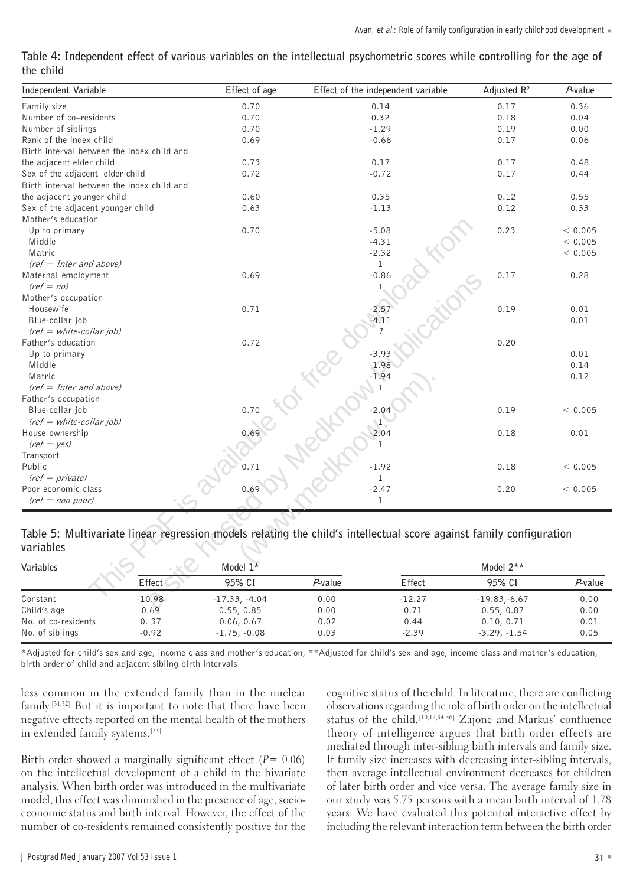| Table 4: Independent effect of various variables on the intellectual psychometric scores while controlling for the age of |  |  |  |  |  |  |
|---------------------------------------------------------------------------------------------------------------------------|--|--|--|--|--|--|
| the child                                                                                                                 |  |  |  |  |  |  |

| Independent Variable                                                                                                |          | Effect of age   |            | Effect of the independent variable | Adjusted $R^2$ | $P$ -value |
|---------------------------------------------------------------------------------------------------------------------|----------|-----------------|------------|------------------------------------|----------------|------------|
| Family size                                                                                                         |          | 0.70            |            | 0.14                               | 0.17           | 0.36       |
| Number of co-residents                                                                                              |          | 0.70            |            | 0.32                               | 0.18           | 0.04       |
| Number of siblings                                                                                                  |          | 0.70            |            | $-1.29$                            | 0.19           | 0.00       |
| Rank of the index child                                                                                             |          | 0.69            |            | $-0.66$                            | 0.17           | 0.06       |
| Birth interval between the index child and                                                                          |          |                 |            |                                    |                |            |
| the adjacent elder child                                                                                            |          | 0.73            |            | 0.17                               | 0.17           | 0.48       |
| Sex of the adjacent elder child                                                                                     |          | 0.72            |            | $-0.72$                            | 0.17           | 0.44       |
| Birth interval between the index child and                                                                          |          |                 |            |                                    |                |            |
| the adjacent younger child                                                                                          |          | 0.60            |            | 0.35                               | 0.12           | 0.55       |
| Sex of the adjacent younger child                                                                                   |          | 0.63            |            | $-1.13$                            | 0.12           | 0.33       |
| Mother's education                                                                                                  |          |                 |            |                                    |                |            |
| Up to primary                                                                                                       |          | 0.70            |            | $-5.08$                            | 0.23           | < 0.005    |
| Middle                                                                                                              |          |                 |            | $-4.31$                            |                | < 0.005    |
| Matric                                                                                                              |          |                 |            | $-2.32$                            |                | < 0.005    |
| $(ref = Inter and above)$                                                                                           |          |                 |            | $\mathbf 1$                        |                |            |
| Maternal employment                                                                                                 |          | 0.69            |            | $-0.86$                            | 0.17           | 0.28       |
| $(ref = no)$                                                                                                        |          |                 |            | 1                                  |                |            |
| Mother's occupation                                                                                                 |          |                 |            |                                    |                |            |
| Housewife                                                                                                           |          | 0.71            |            | $-2.57$                            | 0.19           | 0.01       |
| Blue-collar job                                                                                                     |          |                 |            | $-4.11$                            |                | 0.01       |
| $(ref = white-collar job)$                                                                                          |          |                 |            | $\overline{I}$                     |                |            |
| Father's education                                                                                                  |          | 0.72            |            |                                    | 0.20           |            |
| Up to primary                                                                                                       |          |                 |            | $-3.93$                            |                | 0.01       |
| Middle                                                                                                              |          |                 |            | $-1.98$                            |                | 0.14       |
| Matric                                                                                                              |          |                 |            | $-1.94$                            |                | 0.12       |
| $(ref = Inter and above)$                                                                                           |          |                 |            | 1                                  |                |            |
| Father's occupation                                                                                                 |          |                 |            |                                    |                |            |
| Blue-collar job                                                                                                     |          | 0.70            |            | $-2.04$                            | 0.19           | < 0.005    |
| $(ref = white-collar job)$                                                                                          |          |                 |            | $\mathbf{I}$                       |                |            |
| House ownership                                                                                                     |          | 0.69            |            | $-2.04$                            | 0.18           | 0.01       |
| $(ref = yes)$                                                                                                       |          |                 |            | 1                                  |                |            |
| Transport                                                                                                           |          |                 |            |                                    |                |            |
| Public                                                                                                              |          | 0.71            |            | $-1.92$                            | 0.18           | < 0.005    |
| $(ref = private)$                                                                                                   |          |                 |            | ı                                  |                |            |
| Poor economic class                                                                                                 |          | 0.69            |            | $-2.47$                            | 0.20           | < 0.005    |
| $(ref = non poor)$                                                                                                  |          |                 |            | $\mathbf{1}$                       |                |            |
|                                                                                                                     |          |                 |            |                                    |                |            |
|                                                                                                                     |          |                 |            |                                    |                |            |
| Table 5: Multivariate linear regression models relating the child's intellectual score against family configuration |          |                 |            |                                    |                |            |
| variables                                                                                                           |          |                 |            |                                    |                |            |
| Variables                                                                                                           |          | Model 1*        |            |                                    | Model 2**      |            |
|                                                                                                                     | Effect   | 95% CI          | $P$ -value | Effect                             | 95% CI         | $P$ -value |
| Constant                                                                                                            | $-10.98$ | $-17.33, -4.04$ | 0.00       | $-12.27$                           | $-19.83,-6.67$ | 0.00       |
| Child's age                                                                                                         | 0.69     | 0.55, 0.85      | 0.00       | 0.71                               | 0.55, 0.87     | 0.00       |

Table 5: Multivariate linear regression models relating the child's intellectual score against family configuration variables

| Variables           |          | Model $1*$      |         | Model $2**$ |                |            |  |  |
|---------------------|----------|-----------------|---------|-------------|----------------|------------|--|--|
|                     | Effect   | 95% CI          | P-value | Effect      | 95% CI         | $P$ -value |  |  |
| Constant            | $-10.98$ | $-17.33, -4.04$ | 0.00    | $-12.27$    | $-19.83,-6.67$ | 0.00       |  |  |
| Child's age         | 0.69     | 0.55, 0.85      | 0.00    | 0.71        | 0.55, 0.87     | 0.00       |  |  |
| No. of co-residents | 0.37     | 0.06, 0.67      | 0.02    | 0.44        | 0.10, 0.71     | 0.01       |  |  |
| No. of siblings     | $-0.92$  | $-1.75, -0.08$  | 0.03    | $-2.39$     | $-3.29, -1.54$ | 0.05       |  |  |

\*Adjusted for child's sex and age, income class and mother's education, \*\*Adjusted for child's sex and age, income class and mother's education, birth order of child and adjacent sibling birth intervals

less common in the extended family than in the nuclear cognitive status of the child. In literature, there are conflicting family . negative effects reported on the mental health of the mothers in extended family systems.<sup>[33]</sup>

Birth order showed a marginally significant effect ( $P = 0.06$ ) on the intellectual development of a child in the bivariate then average intellectual environment decreases for children analysis. When birth order was introduced in the multivariate of later birth order and vice versa. The average family size in model, this effect was diminished in the presence of age, socio- our study was 5.75 persons with a mean birth interval of 1.78 economic status and birth interval. However, the effect of the years. We have evaluated this potential interactive effect by number of co-residents remained consistently positive for the

observations regarding the role of birth order on the intellectual status of the child.<sup>[10,12,34-36]</sup> Zajonc and Markus' confluence theory of intelligence argues that birth order effects are mediated through inter-sibling birth intervals and family size. If family size increases with decreasing inter-sibling intervals, d er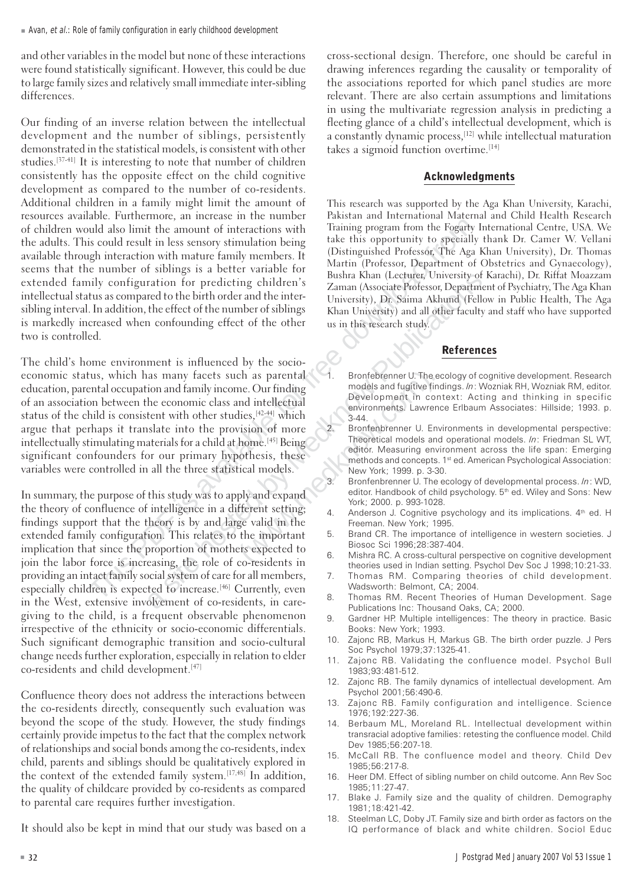and other variables in the model but none of these interactions were found statistically significant. However, this could be due to large family sizes and r elatively small immediate inter-sibling differences.

This is could result in the search of the search of the search is a site of the search in the search is a site of sibility is a south result in the search of sibility configuration for predicting children by Marin (Photeso Our finding of an inverse relation between the intellectual development and the number of siblings, persistently demonstrated in the statistical models, is consistent with other studies.[37-41] It is interesting to note that number of children consistently has the opposite effect on the child cognitive development as compared to the number of co-residents. Additional children in a family might limit the amount of resources available. F urthermore, an increase in the number of children would also limit the amount of interactions with the adults. This could result in less sensory stimulation being available through interaction with mature family members. It (Distinguished Protessor, The Aga Khan University), Dr. Thomas<br>Martin (Professor, Department of Obstetrics and Gynaecology), seems that the number of siblings is a better variable for e xtended family configuration for predicting childr e n intellectual status as compared to the birth order and the inter-<br>sibling interval. In addition, the effect of the number of siblings<br>Khan University) and all other faculty and staff who have supported is markedly increased when confounding effect of the other us in this research study. two is controlled.

The child's home environment is influenced by the socioeconomic status, which has many facets such as parental education, parental occupation and family income. Our finding models and fugitive findings. In: Wozniak RH, Wozniak RM, editor.<br>
Development in context: Acting and thinking in specific of an association between the economic class and intellectual Development in context: Acting and thinking in specific<br>
environments. Lawrence Erlbaum Associates: Hillside; 1993. p. status of the child is consistent with other studies,  $[42-44]$  which  $3-44$ . argue that perhaps it translate into the provision of more intellectually stimulating materials for a child at home.<sup>[45]</sup> Being Theoretical models and operational models. *In*: Friedman SL WT, editor. Measuring environment across the life span: Emerging significant confounders for our primary hypothesis, these methods and concepts. 1st ed. American Psychological Association:<br>weboxt, 1999. p. 3-30. variables were controlled in all the three statistical models.

In summary, the purpose of this study was to apply and expand editor. Handbook of child editor. Handbook of child psychology. the theory of confluence of intelligence in a different setting;  $4\pi$ findings support that the theory is by and large valid in the extended family configuration. This relates to the important 5. Brand CR. The importance of intelligence in western societies. J implication that since the proportion of mothers expected to<br>6. Mishra RC. A cross-cultural perspective on cognitive development join the labor force is increasing, the role of co-residents in theories used in Indian setting. Psychol Dev Soc J 1998;10:21-33. providing an intact family social system of care for all members, especially childr en is expected to increase.[46] Currently, even in the West, e xtensive involvement of co-residents, in care-Publications Inc: Thousand Oaks, CA; 2000. giving to the child, is a frequent observable phenomenon irrespective of the ethnicity or socio-economic differentials. Such significant demographic transition and socio-cultural change needs further exploration, especially in relation to elder co-residents and child development.[47]

Confluence theory does not address the interactions between the co-residents directly, consequently such evaluation was beyond the scope of the study. However, the study findings certainly provide impetus to the fact that the complex network of relationships and social bonds among the co-residents, index child, parents and siblings should be qualitatively explored in the context of the extended family system.[17,48] In addition, the quality of childcare provided by co-residents as compared to parental care requires further investigation.

It should also be kept in mind that our study was based on a

cross-sectional design. Therefore, one should be careful in drawing inferences regarding the causality or temporality of the associations reported for which panel studies are more relevant. There are also certain assumptions and limitations in using the multivariate r e g ression analysis in predicting a fleeting glance of a child's intellectual development, which is a constantly dynamic process,<sup>[12]</sup> while intellectual maturation takes a sigmoid function overtime.<sup>[14]</sup>

### Acknowledgments

This research was supported by the Aga Khan University, Karachi, Pakistan and International Maternal and Child Health Research Training program from the Fogarty International Centre, USA. We t a ke this opportunity to specially thank Dr. Camer W. Vellani (Distinguished Professor, The Aga Khan University), Dr. Thomas Bushra Khan (Lecturer, University of Karachi), Dr. Riffat Moazzam Zaman (Associate Professor, Department of Psychiatry, The Aga Khan Khan University) and all other faculty and staff who have supported

### References

- 1. Bronfebrenner U. The ecology of cognitive development. Research models and fugitive findings. In: Wozniak RH, Wozniak RM, editor.
- 2. Bronfenbrenner U . Environments in developmental perspective:
- 3. Bronfenbrenner U. The ecology of developmental process. In: WD, editor. Handbook of child psychology. 5<sup>th</sup> ed. Wiley and Sons: New
- Freeman. New York; 1995. Anderson J. Cognitive psychology and its implications. 4<sup>th</sup> ed. H
- Biosoc Sci 1996;28:387-404.
- 
- 7. Thomas RM. Comparing theories of child development. Wadsworth: Belmont, CA; 2004.
- 8. Thomas RM. Recent Theories of Human Development. Sage
- Gardner HP. Multiple intelligences: The theory in practice. Basic Books: New York; 1993.
- 10. Zajonc RB, Markus H, Markus GB. The birth order puzzle. J Pers Soc Psychol 1979;37:1325-41.
- 11. Zajonc RB. Validating the confluence model. Psychol Bull 1983;93:481-512.
- 1 2. Zajonc RB. The family dynamics of intellectual development. Am Psychol 2001;56:490-6.
- 1 3. Zajonc RB . Family configuration and intelligence. Science 1976;192:227-36.
- 14. Berbaum ML, Moreland RL. Intellectual development within transracial adoptive families: retesting the confluence model. Child Dev 1985;56:207-18.
- 1 5. McCall RB. The confluence model and theory. Child Dev 1985;56:217-8.
- 1 6. Heer DM. Effect of sibling number on child outcome. Ann Rev Soc 1985;11:27-47.
- 1 7. Blake J. Family size and the quality of children. Demography 1981;18:421-42.
- 1 8. Steelman LC, Doby JT. Family size and birth order as factors on the IQ performance of black and white children. Sociol Educ